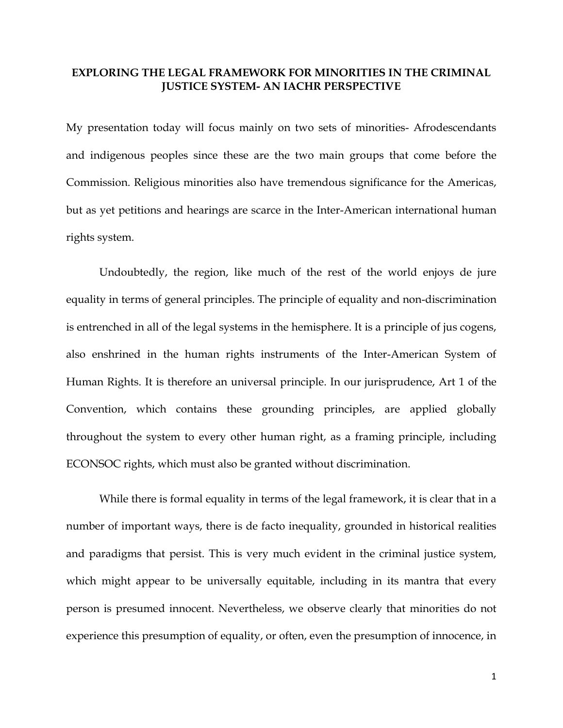## **EXPLORING THE LEGAL FRAMEWORK FOR MINORITIES IN THE CRIMINAL JUSTICE SYSTEM- AN IACHR PERSPECTIVE**

My presentation today will focus mainly on two sets of minorities- Afrodescendants and indigenous peoples since these are the two main groups that come before the Commission. Religious minorities also have tremendous significance for the Americas, but as yet petitions and hearings are scarce in the Inter-American international human rights system.

Undoubtedly, the region, like much of the rest of the world enjoys de jure equality in terms of general principles. The principle of equality and non-discrimination is entrenched in all of the legal systems in the hemisphere. It is a principle of jus cogens, also enshrined in the human rights instruments of the Inter-American System of Human Rights. It is therefore an universal principle. In our jurisprudence, Art 1 of the Convention, which contains these grounding principles, are applied globally throughout the system to every other human right, as a framing principle, including ECONSOC rights, which must also be granted without discrimination.

While there is formal equality in terms of the legal framework, it is clear that in a number of important ways, there is de facto inequality, grounded in historical realities and paradigms that persist. This is very much evident in the criminal justice system, which might appear to be universally equitable, including in its mantra that every person is presumed innocent. Nevertheless, we observe clearly that minorities do not experience this presumption of equality, or often, even the presumption of innocence, in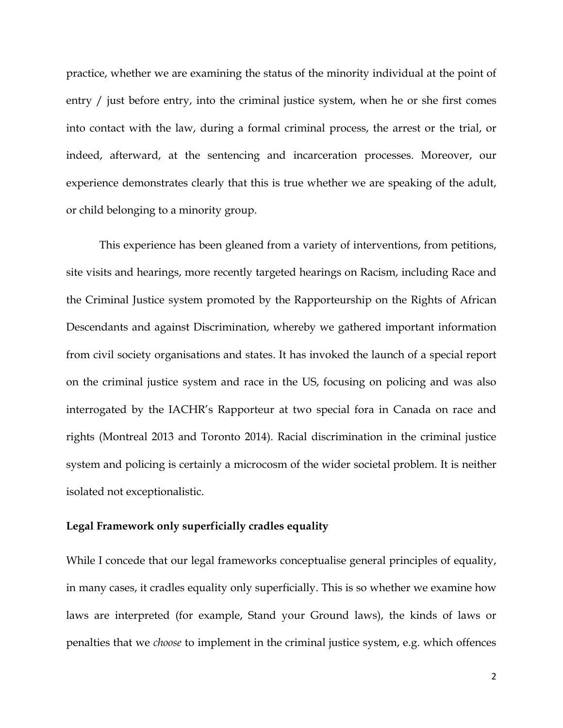practice, whether we are examining the status of the minority individual at the point of entry / just before entry, into the criminal justice system, when he or she first comes into contact with the law, during a formal criminal process, the arrest or the trial, or indeed, afterward, at the sentencing and incarceration processes. Moreover, our experience demonstrates clearly that this is true whether we are speaking of the adult, or child belonging to a minority group.

This experience has been gleaned from a variety of interventions, from petitions, site visits and hearings, more recently targeted hearings on Racism, including Race and the Criminal Justice system promoted by the Rapporteurship on the Rights of African Descendants and against Discrimination, whereby we gathered important information from civil society organisations and states. It has invoked the launch of a special report on the criminal justice system and race in the US, focusing on policing and was also interrogated by the IACHR's Rapporteur at two special fora in Canada on race and rights (Montreal 2013 and Toronto 2014). Racial discrimination in the criminal justice system and policing is certainly a microcosm of the wider societal problem. It is neither isolated not exceptionalistic.

## **Legal Framework only superficially cradles equality**

While I concede that our legal frameworks conceptualise general principles of equality, in many cases, it cradles equality only superficially. This is so whether we examine how laws are interpreted (for example, Stand your Ground laws), the kinds of laws or penalties that we *choose* to implement in the criminal justice system, e.g. which offences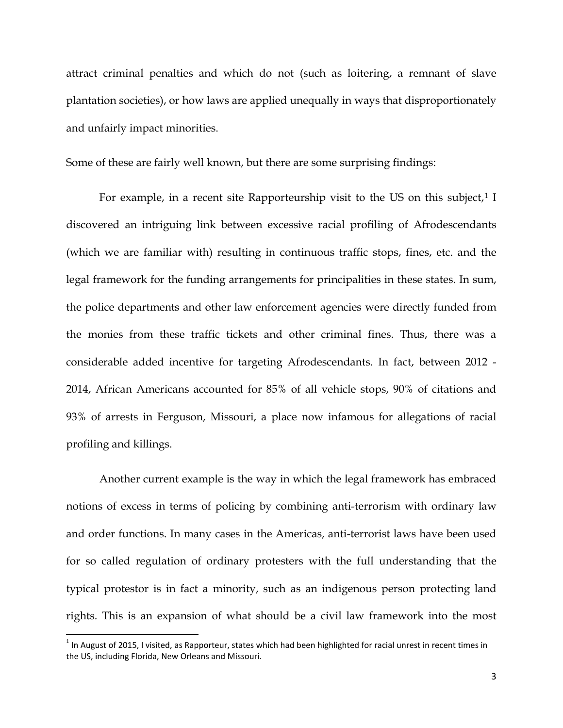attract criminal penalties and which do not (such as loitering, a remnant of slave plantation societies), or how laws are applied unequally in ways that disproportionately and unfairly impact minorities.

Some of these are fairly well known, but there are some surprising findings:

For example, in a recent site Rapporteurship visit to the US on this subject, $1$  I discovered an intriguing link between excessive racial profiling of Afrodescendants (which we are familiar with) resulting in continuous traffic stops, fines, etc. and the legal framework for the funding arrangements for principalities in these states. In sum, the police departments and other law enforcement agencies were directly funded from the monies from these traffic tickets and other criminal fines. Thus, there was a considerable added incentive for targeting Afrodescendants. In fact, between 2012 - 2014, African Americans accounted for 85% of all vehicle stops, 90% of citations and 93% of arrests in Ferguson, Missouri, a place now infamous for allegations of racial profiling and killings.

Another current example is the way in which the legal framework has embraced notions of excess in terms of policing by combining anti-terrorism with ordinary law and order functions. In many cases in the Americas, anti-terrorist laws have been used for so called regulation of ordinary protesters with the full understanding that the typical protestor is in fact a minority, such as an indigenous person protecting land rights. This is an expansion of what should be a civil law framework into the most

 $\overline{\phantom{a}}$ 

<span id="page-2-0"></span> $1$  In August of 2015, I visited, as Rapporteur, states which had been highlighted for racial unrest in recent times in the US, including Florida, New Orleans and Missouri.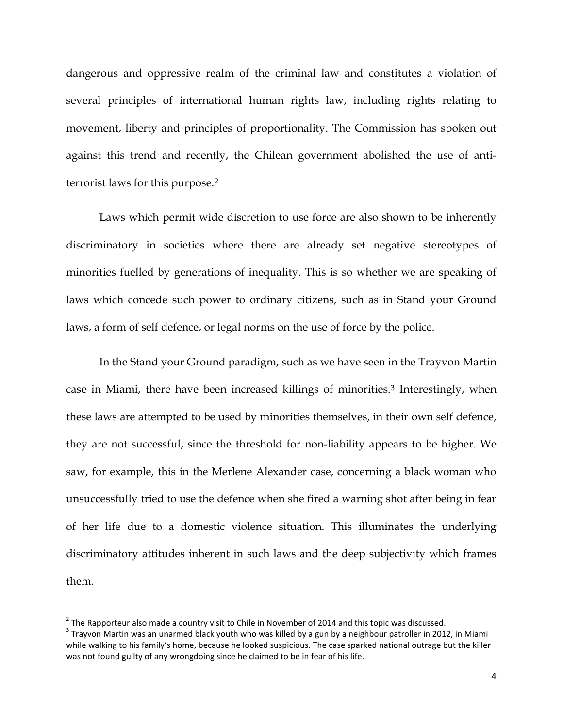dangerous and oppressive realm of the criminal law and constitutes a violation of several principles of international human rights law, including rights relating to movement, liberty and principles of proportionality. The Commission has spoken out against this trend and recently, the Chilean government abolished the use of antiterrorist laws for this purpose.[2](#page-3-0)

Laws which permit wide discretion to use force are also shown to be inherently discriminatory in societies where there are already set negative stereotypes of minorities fuelled by generations of inequality. This is so whether we are speaking of laws which concede such power to ordinary citizens, such as in Stand your Ground laws, a form of self defence, or legal norms on the use of force by the police.

In the Stand your Ground paradigm, such as we have seen in the Trayvon Martin case in Miami, there have been increased killings of minorities.[3](#page-3-1) Interestingly, when these laws are attempted to be used by minorities themselves, in their own self defence, they are not successful, since the threshold for non-liability appears to be higher. We saw, for example, this in the Merlene Alexander case, concerning a black woman who unsuccessfully tried to use the defence when she fired a warning shot after being in fear of her life due to a domestic violence situation. This illuminates the underlying discriminatory attitudes inherent in such laws and the deep subjectivity which frames them.

 $\overline{\phantom{a}}$ 

<span id="page-3-1"></span><span id="page-3-0"></span><sup>&</sup>lt;sup>2</sup> The Rapporteur also made a country visit to Chile in November of 2014 and this topic was discussed.<br><sup>3</sup> Trayvon Martin was an unarmed black youth who was killed by a gun by a neighbour patroller in 2012, in Miami while walking to his family's home, because he looked suspicious. The case sparked national outrage but the killer was not found guilty of any wrongdoing since he claimed to be in fear of his life.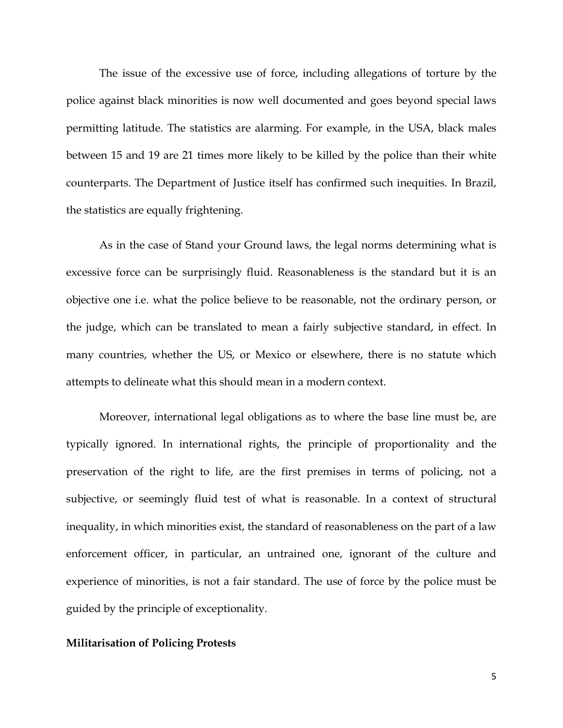The issue of the excessive use of force, including allegations of torture by the police against black minorities is now well documented and goes beyond special laws permitting latitude. The statistics are alarming. For example, in the USA, black males between 15 and 19 are 21 times more likely to be killed by the police than their white counterparts. The Department of Justice itself has confirmed such inequities. In Brazil, the statistics are equally frightening.

As in the case of Stand your Ground laws, the legal norms determining what is excessive force can be surprisingly fluid. Reasonableness is the standard but it is an objective one i.e. what the police believe to be reasonable, not the ordinary person, or the judge, which can be translated to mean a fairly subjective standard, in effect. In many countries, whether the US, or Mexico or elsewhere, there is no statute which attempts to delineate what this should mean in a modern context.

Moreover, international legal obligations as to where the base line must be, are typically ignored. In international rights, the principle of proportionality and the preservation of the right to life, are the first premises in terms of policing, not a subjective, or seemingly fluid test of what is reasonable. In a context of structural inequality, in which minorities exist, the standard of reasonableness on the part of a law enforcement officer, in particular, an untrained one, ignorant of the culture and experience of minorities, is not a fair standard. The use of force by the police must be guided by the principle of exceptionality.

### **Militarisation of Policing Protests**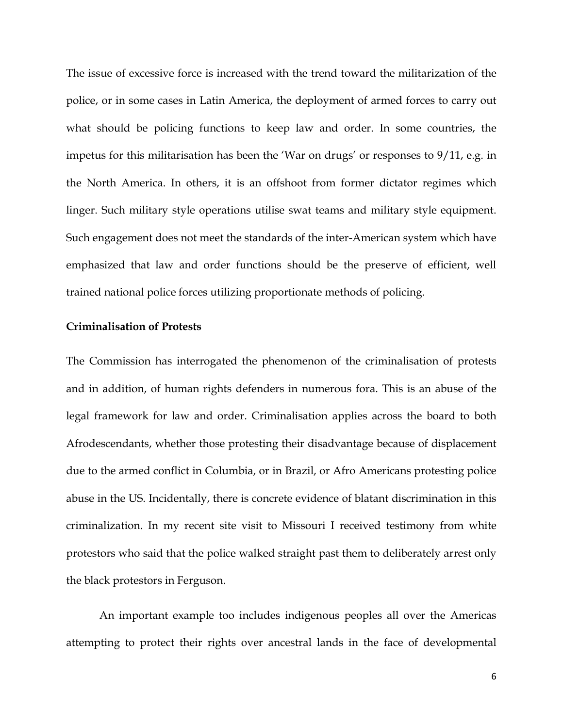The issue of excessive force is increased with the trend toward the militarization of the police, or in some cases in Latin America, the deployment of armed forces to carry out what should be policing functions to keep law and order. In some countries, the impetus for this militarisation has been the 'War on drugs' or responses to 9/11, e.g. in the North America. In others, it is an offshoot from former dictator regimes which linger. Such military style operations utilise swat teams and military style equipment. Such engagement does not meet the standards of the inter-American system which have emphasized that law and order functions should be the preserve of efficient, well trained national police forces utilizing proportionate methods of policing.

#### **Criminalisation of Protests**

The Commission has interrogated the phenomenon of the criminalisation of protests and in addition, of human rights defenders in numerous fora. This is an abuse of the legal framework for law and order. Criminalisation applies across the board to both Afrodescendants, whether those protesting their disadvantage because of displacement due to the armed conflict in Columbia, or in Brazil, or Afro Americans protesting police abuse in the US. Incidentally, there is concrete evidence of blatant discrimination in this criminalization. In my recent site visit to Missouri I received testimony from white protestors who said that the police walked straight past them to deliberately arrest only the black protestors in Ferguson.

An important example too includes indigenous peoples all over the Americas attempting to protect their rights over ancestral lands in the face of developmental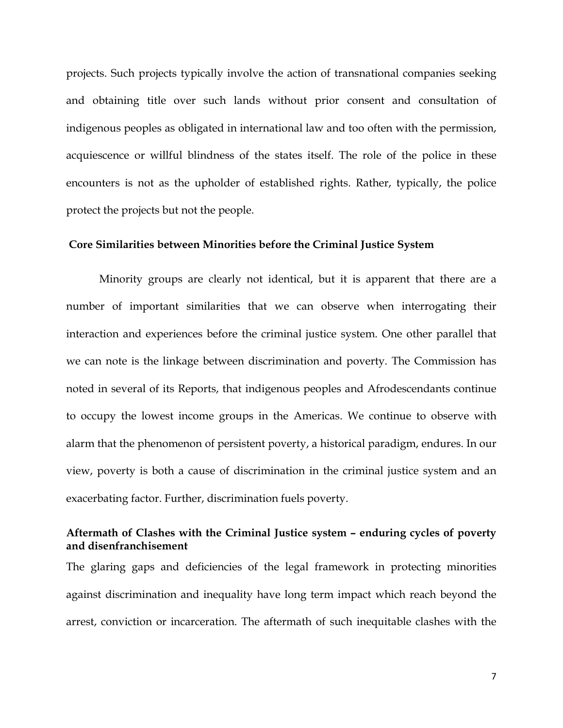projects. Such projects typically involve the action of transnational companies seeking and obtaining title over such lands without prior consent and consultation of indigenous peoples as obligated in international law and too often with the permission, acquiescence or willful blindness of the states itself. The role of the police in these encounters is not as the upholder of established rights. Rather, typically, the police protect the projects but not the people.

## **Core Similarities between Minorities before the Criminal Justice System**

Minority groups are clearly not identical, but it is apparent that there are a number of important similarities that we can observe when interrogating their interaction and experiences before the criminal justice system. One other parallel that we can note is the linkage between discrimination and poverty. The Commission has noted in several of its Reports, that indigenous peoples and Afrodescendants continue to occupy the lowest income groups in the Americas. We continue to observe with alarm that the phenomenon of persistent poverty, a historical paradigm, endures. In our view, poverty is both a cause of discrimination in the criminal justice system and an exacerbating factor. Further, discrimination fuels poverty.

# **Aftermath of Clashes with the Criminal Justice system – enduring cycles of poverty and disenfranchisement**

The glaring gaps and deficiencies of the legal framework in protecting minorities against discrimination and inequality have long term impact which reach beyond the arrest, conviction or incarceration. The aftermath of such inequitable clashes with the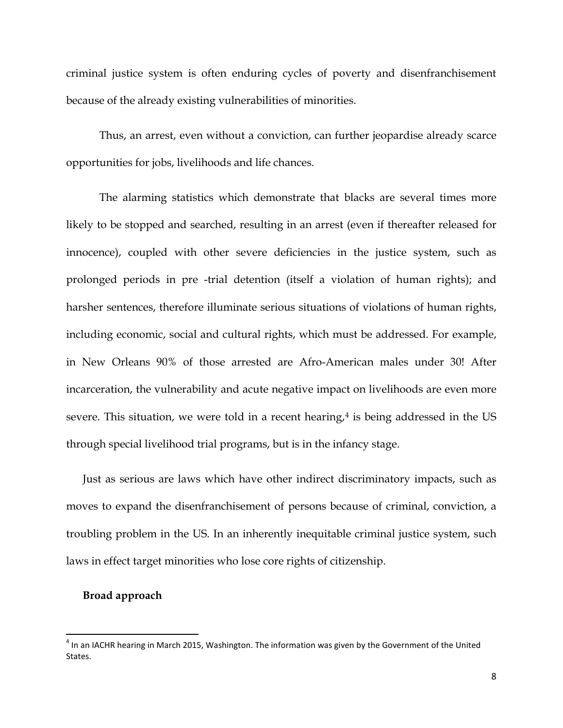criminal justice system is often enduring cycles of poverty and disenfranchisement because of the already existing vulnerabilities of minorities.

Thus, an arrest, even without a conviction, can further jeopardise already scarce opportunities for jobs, livelihoods and life chances.

The alarming statistics which demonstrate that blacks are several times more likely to be stopped and searched, resulting in an arrest (even if thereafter released for innocence), coupled with other severe deficiencies in the justice system, such as prolonged periods in pre -trial detention (itself a violation of human rights); and harsher sentences, therefore illuminate serious situations of violations of human rights, including economic, social and cultural rights, which must be addressed. For example, in New Orleans 90% of those arrested are Afro-American males under 30! After incarceration, the vulnerability and acute negative impact on livelihoods are even more severe. This situation, we were told in a recent hearing, $4$  is being addressed in the US through special livelihood trial programs, but is in the infancy stage.

Just as serious are laws which have other indirect discriminatory impacts, such as moves to expand the disenfranchisement of persons because of criminal, conviction, a troubling problem in the US. In an inherently inequitable criminal justice system, such laws in effect target minorities who lose core rights of citizenship.

## **Broad approach**

 $\overline{\phantom{a}}$ 

<span id="page-7-0"></span> $4$  In an IACHR hearing in March 2015, Washington. The information was given by the Government of the United **States**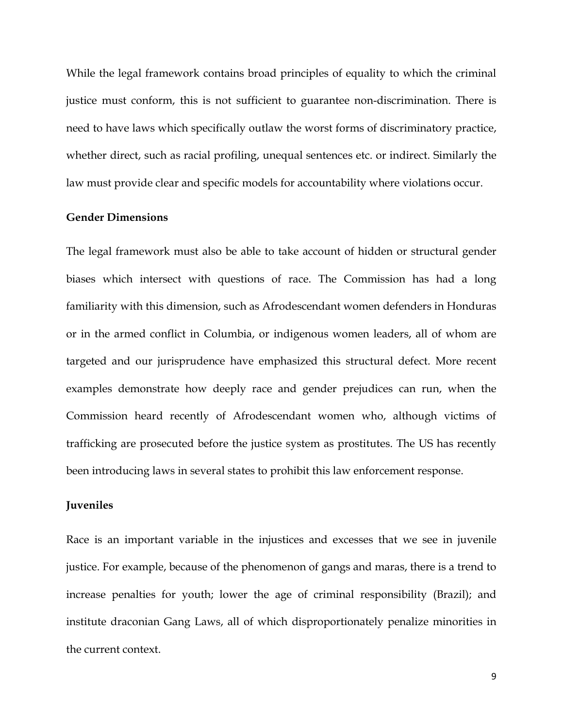While the legal framework contains broad principles of equality to which the criminal justice must conform, this is not sufficient to guarantee non-discrimination. There is need to have laws which specifically outlaw the worst forms of discriminatory practice, whether direct, such as racial profiling, unequal sentences etc. or indirect. Similarly the law must provide clear and specific models for accountability where violations occur.

### **Gender Dimensions**

The legal framework must also be able to take account of hidden or structural gender biases which intersect with questions of race. The Commission has had a long familiarity with this dimension, such as Afrodescendant women defenders in Honduras or in the armed conflict in Columbia, or indigenous women leaders, all of whom are targeted and our jurisprudence have emphasized this structural defect. More recent examples demonstrate how deeply race and gender prejudices can run, when the Commission heard recently of Afrodescendant women who, although victims of trafficking are prosecuted before the justice system as prostitutes. The US has recently been introducing laws in several states to prohibit this law enforcement response.

## **Juveniles**

Race is an important variable in the injustices and excesses that we see in juvenile justice. For example, because of the phenomenon of gangs and maras, there is a trend to increase penalties for youth; lower the age of criminal responsibility (Brazil); and institute draconian Gang Laws, all of which disproportionately penalize minorities in the current context.

9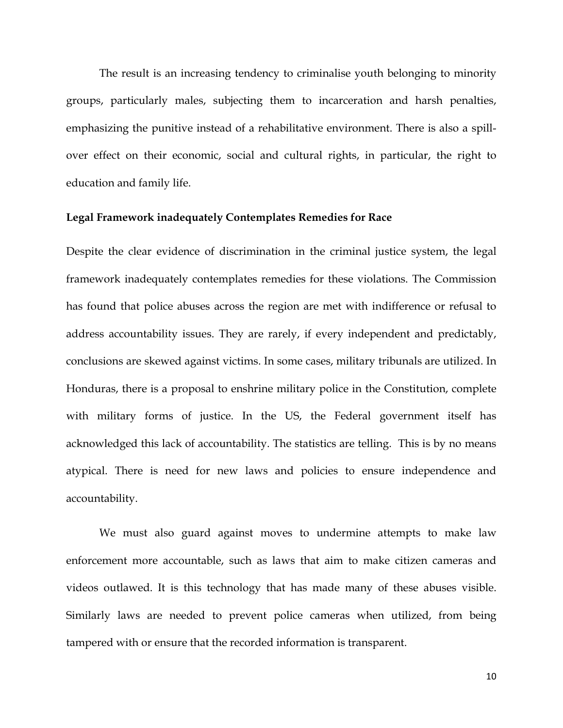The result is an increasing tendency to criminalise youth belonging to minority groups, particularly males, subjecting them to incarceration and harsh penalties, emphasizing the punitive instead of a rehabilitative environment. There is also a spillover effect on their economic, social and cultural rights, in particular, the right to education and family life.

### **Legal Framework inadequately Contemplates Remedies for Race**

Despite the clear evidence of discrimination in the criminal justice system, the legal framework inadequately contemplates remedies for these violations. The Commission has found that police abuses across the region are met with indifference or refusal to address accountability issues. They are rarely, if every independent and predictably, conclusions are skewed against victims. In some cases, military tribunals are utilized. In Honduras, there is a proposal to enshrine military police in the Constitution, complete with military forms of justice. In the US, the Federal government itself has acknowledged this lack of accountability. The statistics are telling. This is by no means atypical. There is need for new laws and policies to ensure independence and accountability.

We must also guard against moves to undermine attempts to make law enforcement more accountable, such as laws that aim to make citizen cameras and videos outlawed. It is this technology that has made many of these abuses visible. Similarly laws are needed to prevent police cameras when utilized, from being tampered with or ensure that the recorded information is transparent.

10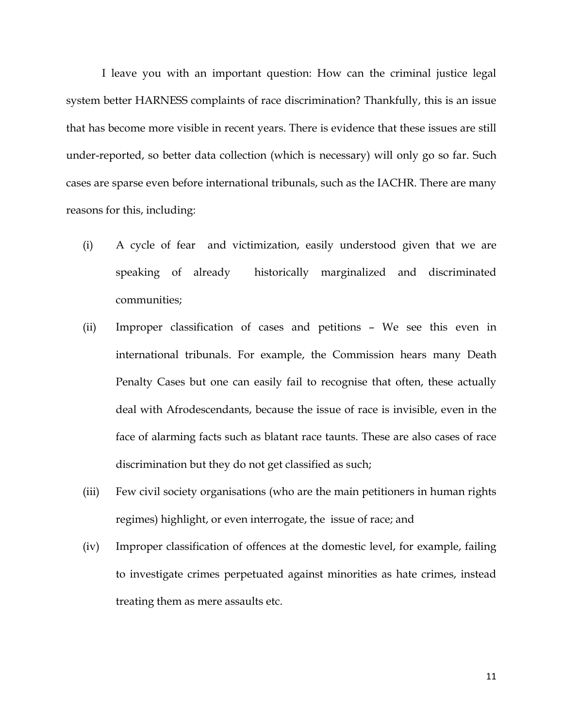I leave you with an important question: How can the criminal justice legal system better HARNESS complaints of race discrimination? Thankfully, this is an issue that has become more visible in recent years. There is evidence that these issues are still under-reported, so better data collection (which is necessary) will only go so far. Such cases are sparse even before international tribunals, such as the IACHR. There are many reasons for this, including:

- (i) A cycle of fear and victimization, easily understood given that we are speaking of already historically marginalized and discriminated communities;
- (ii) Improper classification of cases and petitions We see this even in international tribunals. For example, the Commission hears many Death Penalty Cases but one can easily fail to recognise that often, these actually deal with Afrodescendants, because the issue of race is invisible, even in the face of alarming facts such as blatant race taunts. These are also cases of race discrimination but they do not get classified as such;
- (iii) Few civil society organisations (who are the main petitioners in human rights regimes) highlight, or even interrogate, the issue of race; and
- (iv) Improper classification of offences at the domestic level, for example, failing to investigate crimes perpetuated against minorities as hate crimes, instead treating them as mere assaults etc.